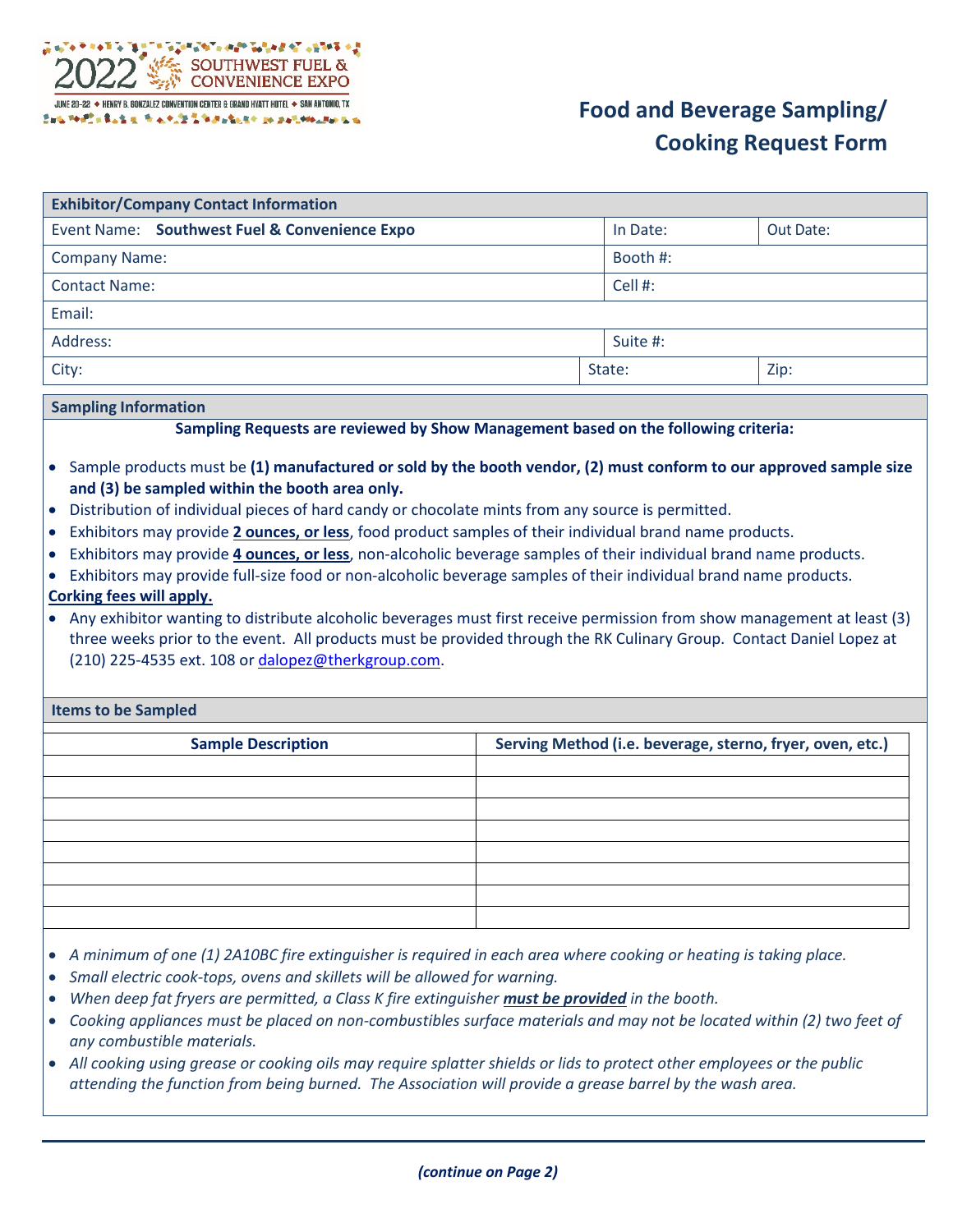

| <b>Exhibitor/Company Contact Information</b>  |  |          |           |  |
|-----------------------------------------------|--|----------|-----------|--|
| Event Name: Southwest Fuel & Convenience Expo |  | In Date: | Out Date: |  |
| <b>Company Name:</b>                          |  | Booth #: |           |  |
| <b>Contact Name:</b>                          |  | Cell#:   |           |  |
| Email:                                        |  |          |           |  |
| Address:                                      |  | Suite #: |           |  |
| City:                                         |  | State:   | Zip:      |  |

## **Sampling Information**

## **Sampling Requests are reviewed by Show Management based on the following criteria:**

- Sample products must be **(1) manufactured or sold by the booth vendor, (2) must conform to our approved sample size and (3) be sampled within the booth area only.**
- Distribution of individual pieces of hard candy or chocolate mints from any source is permitted.
- Exhibitors may provide **2 ounces, or less**, food product samples of their individual brand name products.
- Exhibitors may provide **4 ounces, or less**, non-alcoholic beverage samples of their individual brand name products.
- Exhibitors may provide full-size food or non-alcoholic beverage samples of their individual brand name products.

## **Corking fees will apply.**

• Any exhibitor wanting to distribute alcoholic beverages must first receive permission from show management at least (3) three weeks prior to the event. All products must be provided through the RK Culinary Group. Contact Daniel Lopez at (210) 225-4535 ext. 108 or [dalopez@therkgroup.com.](mailto:dalopez@therkgroup.com)

## **Items to be Sampled**

| <b>Sample Description</b> | Serving Method (i.e. beverage, sterno, fryer, oven, etc.) |
|---------------------------|-----------------------------------------------------------|
|                           |                                                           |
|                           |                                                           |
|                           |                                                           |
|                           |                                                           |
|                           |                                                           |
|                           |                                                           |
|                           |                                                           |
|                           |                                                           |

- *A minimum of one (1) 2A10BC fire extinguisher is required in each area where cooking or heating is taking place.*
- *Small electric cook-tops, ovens and skillets will be allowed for warning.*
- *When deep fat fryers are permitted, a Class K fire extinguisher <i>must be provided* in the booth.
- *Cooking appliances must be placed on non-combustibles surface materials and may not be located within (2) two feet of any combustible materials.*
- *All cooking using grease or cooking oils may require splatter shields or lids to protect other employees or the public attending the function from being burned. The Association will provide a grease barrel by the wash area.*